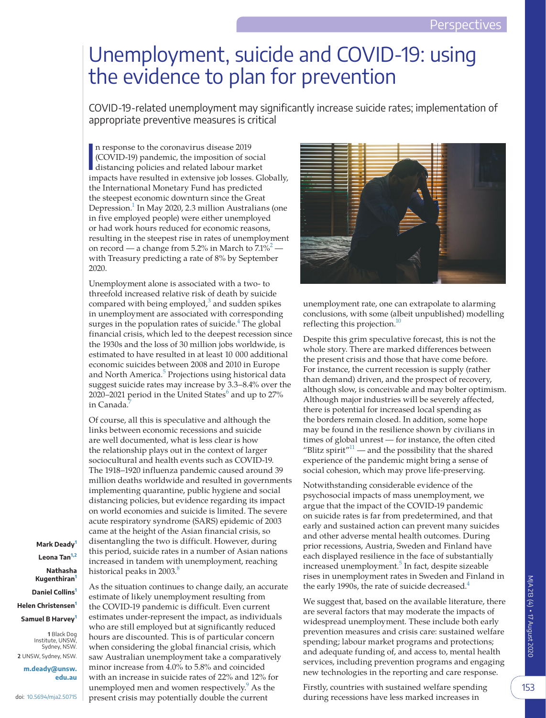## Unemployment, suicide and COVID-19: using the evidence to plan for prevention

COVID-19-related unemployment may significantly increase suicide rates; implementation of appropriate preventive measures is critical

I n response to the coronavirus disease 2019 (COVID-19) pandemic, the imposition of social distancing policies and related labour market impacts have resulted in extensive job losses. Globally, the International Monetary Fund has predicted the steepest economic downturn since the Great Depression.<sup>1</sup> In May 2020, 2.3 million Australians (one in five employed people) were either unemployed or had work hours reduced for economic reasons, resulting in the steepest rise in rates of unemployment on record — a change from 5.2% in March to  $\frac{7.1\%^{2}}{2}$  with Treasury predicting a rate of 8% by September 2020.

Unemployment alone is associated with a two- to threefold increased relative risk of death by suicide compared with being employed,<sup>[3](#page-2-2)</sup> and sudden spikes in unemployment are associated with corresponding surges in the population rates of suicide.<sup>[4](#page-2-3)</sup> The global financial crisis, which led to the deepest recession since the 1930s and the loss of 30 million jobs worldwide, is estimated to have resulted in at least 10 000 additional economic suicides between 2008 and 2010 in Europe and North America.<sup>[5](#page-2-4)</sup> Projections using historical data suggest suicide rates may increase by 3.3–8.4% over the 2020–2021 period in the United States $^6$  $^6$  and up to 27% in Canada.<sup>7</sup>

Of course, all this is speculative and although the links between economic recessions and suicide are well documented, what is less clear is how the relationship plays out in the context of larger sociocultural and health events such as COVID-19. The 1918–1920 influenza pandemic caused around 39 million deaths worldwide and resulted in governments implementing quarantine, public hygiene and social distancing policies, but evidence regarding its impact on world economies and suicide is limited. The severe acute respiratory syndrome (SARS) epidemic of 2003 came at the height of the Asian financial crisis, so disentangling the two is difficult. However, during this period, suicide rates in a number of Asian nations increased in tandem with unemployment, reaching historical peaks in 2003.<sup>[8](#page-2-7)</sup>

<span id="page-0-0"></span>As the situation continues to change daily, an accurate estimate of likely unemployment resulting from the COVID-19 pandemic is difficult. Even current estimates under-represent the impact, as individuals who are still employed but at significantly reduced hours are discounted. This is of particular concern when considering the global financial crisis, which saw Australian unemployment take a comparatively minor increase from 4.0% to 5.8% and coincided with an increase in suicide rates of 22% and 12% for unemployed men and women respectively.<sup>[9](#page-2-8)</sup> As the present crisis may potentially double the current

**1**  Black Dog **Mark Deady[1](#page-0-0) Leona Tan[1,2](#page-0-0) Nathasha Kugenthiran[1](#page-0-0) Daniel Collins[1](#page-0-0) Helen Christensen[1](#page-0-0) Samuel B Harvey[1](#page-0-0)**

Institute, UNSW, Sydney, NSW. **2**  UNSW, Sydney, NSW.

**[m.deady@unsw.](mailto:m.deady@unsw.edu.au) [edu.au](mailto:m.deady@unsw.edu.au)**

doi: [10.5694/mja2.50715](https://doi.org/10.5694/mja2.50715)



unemployment rate, one can extrapolate to alarming conclusions, with some (albeit unpublished) modelling reflecting this projection.<sup>10</sup>

Despite this grim speculative forecast, this is not the whole story. There are marked differences between the present crisis and those that have come before. For instance, the current recession is supply (rather than demand) driven, and the prospect of recovery, although slow, is conceivable and may bolter optimism. Although major industries will be severely affected, there is potential for increased local spending as the borders remain closed. In addition, some hope may be found in the resilience shown by civilians in times of global unrest — for instance, the often cited "Blitz spirit"<sup>11</sup> — and the possibility that the shared experience of the pandemic might bring a sense of social cohesion, which may prove life-preserving.

Notwithstanding considerable evidence of the psychosocial impacts of mass unemployment, we argue that the impact of the COVID-19 pandemic on suicide rates is far from predetermined, and that early and sustained action can prevent many suicides and other adverse mental health outcomes. During prior recessions, Austria, Sweden and Finland have each displayed resilience in the face of substantially increased unemployment.<sup>[5](#page-2-4)</sup> In fact, despite sizeable rises in unemployment rates in Sweden and Finland in the early 1990s, the rate of suicide decreased.<sup>4</sup>

We suggest that, based on the available literature, there are several factors that may moderate the impacts of widespread unemployment. These include both early prevention measures and crisis care: sustained welfare spending; labour market programs and protections; and adequate funding of, and access to, mental health services, including prevention programs and engaging new technologies in the reporting and care response.

Firstly, countries with sustained welfare spending during recessions have less marked increases in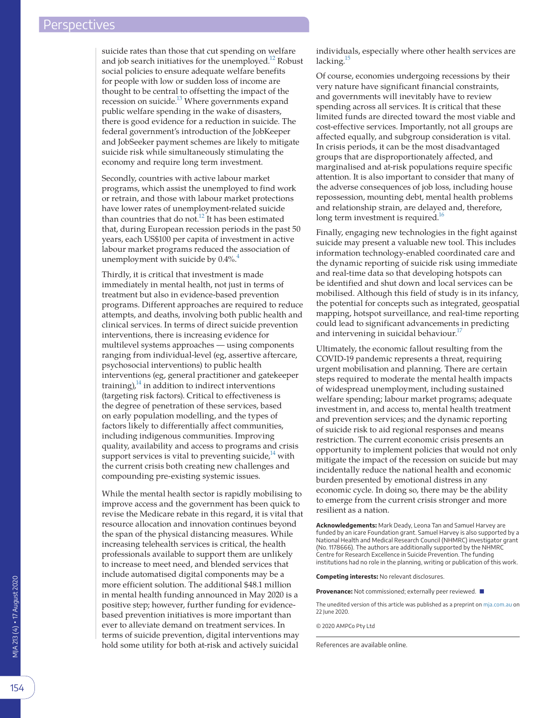suicide rates than those that cut spending on welfare and job search initiatives for the unemployed[.12](#page-2-11) Robust social policies to ensure adequate welfare benefits for people with low or sudden loss of income are thought to be central to offsetting the impact of the recession on suicide.<sup>13</sup> Where governments expand public welfare spending in the wake of disasters, there is good evidence for a reduction in suicide. The federal government's introduction of the JobKeeper and JobSeeker payment schemes are likely to mitigate suicide risk while simultaneously stimulating the economy and require long term investment.

Secondly, countries with active labour market programs, which assist the unemployed to find work or retrain, and those with labour market protections have lower rates of unemployment-related suicide than countries that do not.<sup>12</sup> It has been estimated that, during European recession periods in the past 50 years, each US\$100 per capita of investment in active labour market programs reduced the association of unemployment with suicide by  $0.4\%$  $0.4\%$  $0.4\%$ .<sup>4</sup>

Thirdly, it is critical that investment is made immediately in mental health, not just in terms of treatment but also in evidence-based prevention programs. Different approaches are required to reduce attempts, and deaths, involving both public health and clinical services. In terms of direct suicide prevention interventions, there is increasing evidence for multilevel systems approaches — using components ranging from individual-level (eg, assertive aftercare, psychosocial interventions) to public health interventions (eg, general practitioner and gatekeeper training), $14$  in addition to indirect interventions (targeting risk factors). Critical to effectiveness is the degree of penetration of these services, based on early population modelling, and the types of factors likely to differentially affect communities, including indigenous communities. Improving quality, availability and access to programs and crisis support services is vital to preventing suicide, $14$  with the current crisis both creating new challenges and compounding pre-existing systemic issues.

While the mental health sector is rapidly mobilising to improve access and the government has been quick to revise the Medicare rebate in this regard, it is vital that resource allocation and innovation continues beyond the span of the physical distancing measures. While increasing telehealth services is critical, the health professionals available to support them are unlikely to increase to meet need, and blended services that include automatised digital components may be a more efficient solution. The additional \$48.1 million in mental health funding announced in May 2020 is a positive step; however, further funding for evidencebased prevention initiatives is more important than ever to alleviate demand on treatment services. In terms of suicide prevention, digital interventions may hold some utility for both at-risk and actively suicidal

individuals, especially where other health services are lacking. $15$ 

Of course, economies undergoing recessions by their very nature have significant financial constraints, and governments will inevitably have to review spending across all services. It is critical that these limited funds are directed toward the most viable and cost-effective services. Importantly, not all groups are affected equally, and subgroup consideration is vital. In crisis periods, it can be the most disadvantaged groups that are disproportionately affected, and marginalised and at-risk populations require specific attention. It is also important to consider that many of the adverse consequences of job loss, including house repossession, mounting debt, mental health problems and relationship strain, are delayed and, therefore, long term investment is required.<sup>16</sup>

Finally, engaging new technologies in the fight against suicide may present a valuable new tool. This includes information technology-enabled coordinated care and the dynamic reporting of suicide risk using immediate and real-time data so that developing hotspots can be identified and shut down and local services can be mobilised. Although this field of study is in its infancy, the potential for concepts such as integrated, geospatial mapping, hotspot surveillance, and real-time reporting could lead to significant advancements in predicting and intervening in suicidal behaviour.<sup>17</sup>

Ultimately, the economic fallout resulting from the COVID-19 pandemic represents a threat, requiring urgent mobilisation and planning. There are certain steps required to moderate the mental health impacts of widespread unemployment, including sustained welfare spending; labour market programs; adequate investment in, and access to, mental health treatment and prevention services; and the dynamic reporting of suicide risk to aid regional responses and means restriction. The current economic crisis presents an opportunity to implement policies that would not only mitigate the impact of the recession on suicide but may incidentally reduce the national health and economic burden presented by emotional distress in any economic cycle. In doing so, there may be the ability to emerge from the current crisis stronger and more resilient as a nation.

**Acknowledgements:** Mark Deady, Leona Tan and Samuel Harvey are funded by an icare Foundation grant. Samuel Harvey is also supported by a National Health and Medical Research Council (NHMRC) investigator grant (No. 1178666). The authors are additionally supported by the NHMRC Centre for Research Excellence in Suicide Prevention. The funding institutions had no role in the planning, writing or publication of this work.

**Competing interests:** No relevant disclosures.

**Provenance:** Not commissioned; externally peer reviewed. ■

The unedited version of this article was published as a preprint on [mja.com.au](http://mja.com.au) on 22 June 2020.

© 2020 AMPCo Pty Ltd

References are available online.